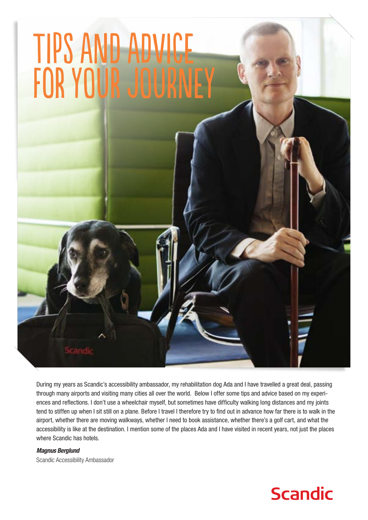

During my years as Scandic's accessibility ambassador, my rehabilitation dog Ada and I have travelled a great deal, passing through many airports and visiting many cities all over the world. Below I offer some tips and advice based on my experiences and reflections. I don't use a wheelchair myself, but sometimes have difficulty walking long distances and my joints tend to stiffen up when I sit still on a plane. Before I travel I therefore try to find out in advance how far there is to walk in the airport, whether there are moving walkways, whether I need to book assistance, whether there's a golf cart, and what the accessibility is like at the destination. I mention some of the places Ada and I have visited in recent years, not just the places where Scandic has hotels.

*Magnus Berglund* Scandic Accessibility Ambassador

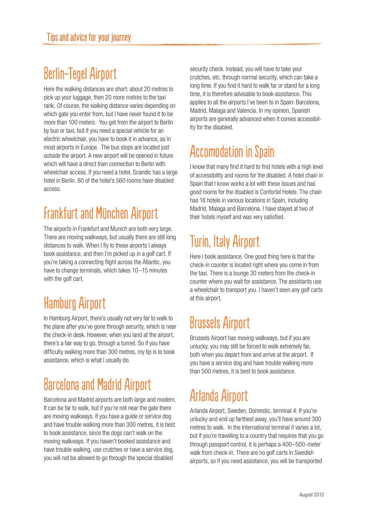### Berlin-Tegel Airport

Here the walking distances are short: about 20 metres to pick up your luggage, then 20 more metres to the taxi rank. Of course, the walking distance varies depending on which gate you enter from, but I have never found it to be more than 100 meters. You get from the airport to Berlin by bus or taxi, but if you need a special vehicle for an electric wheelchair, you have to book it in advance, as in most airports in Europe. The bus stops are located just outside the airport. A new airport will be opened in future which will have a direct train connection to Berlin with wheelchair access. If you need a hotel, Scandic has a large hotel in Berlin. 60 of the hotel's 560 rooms have disabled access.

### Frankfurt and München Airport

The airports in Frankfurt and Munich are both very large. There are moving walkways, but usually there are still long distances to walk. When I fly to these airports I always book assistance, and then I'm picked up in a golf cart. If you're taking a connecting flight across the Atlantic, you have to change terminals, which takes 10–15 minutes with the golf cart.

## Hamburg Airport

In Hamburg Airport, there's usually not very far to walk to the plane after you've gone through security, which is near the check-in desk. However, when you land at the airport, there's a fair way to go, through a tunnel. So if you have difficulty walking more than 300 metres, my tip is to book assistance, which is what I usually do.

# Barcelona and Madrid Airport

Barcelona and Madrid airports are both large and modern. It can be far to walk, but if you're not near the gate there are moving walkways. If you have a guide or service dog and have trouble walking more than 300 metres, it is best to book assistance, since the dogs can't walk on the moving walkways. If you haven't booked assistance and have trouble walking, use crutches or have a service dog, you will not be allowed to go through the special disabled

security check. Instead, you will have to take your crutches, etc. through normal security, which can take a long time. If you find it hard to walk far or stand for a long time, it is therefore advisable to book assistance. This applies to all the airports I've been to in Spain: Barcelona, Madrid, Malaga and Valencia. In my opinion, Spanish airports are generally advanced when it comes accessibility for the disabled.

## Accomodation in Spain

I know that many find it hard to find hotels with a high level of accessibility and rooms for the disabled. A hotel chain in Spain that I know works a lot with these issues and has good rooms for the disabled is Confortel Hotels. The chain has 18 hotels in various locations in Spain, including Madrid, Malaga and Barcelona. I have stayed at two of their hotels myself and was very satisfied.

# Turin, Italy Airport

Here I book assistance. One good thing here is that the check-in counter is located right where you come in from the taxi. There is a lounge 30 meters from the check-in counter where you wait for assistance. The assistants use a wheelchair to transport you. I haven't seen any golf carts at this airport.

## Brussels Airport

Brussels Airport has moving walkways, but if you are unlucky, you may still be forced to walk extremely far, both when you depart from and arrive at the airport. If you have a service dog and have trouble walking more than 500 metres, it is best to book assistance.

# Arlanda Airport

Arlanda Airport, Sweden, Domestic, terminal 4: If you're unlucky and end up farthest away, you'll have around 300 metres to walk. In the International terminal it varies a lot, but if you're travelling to a country that requires that you go through passport control, it is perhaps a 400–500-meter walk from check-in. There are no golf carts in Swedish airports, so if you need assistance, you will be transported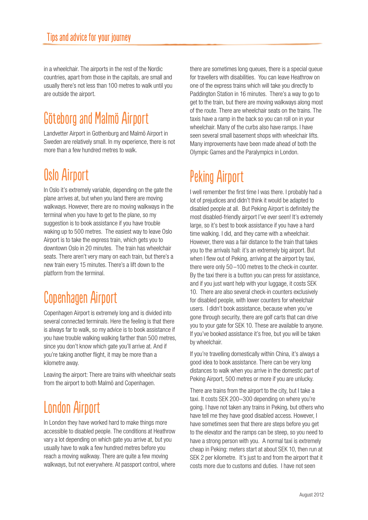in a wheelchair. The airports in the rest of the Nordic countries, apart from those in the capitals, are small and usually there's not less than 100 metres to walk until you are outside the airport.

## Göteborg and Malmö Airport

Landvetter Airport in Gothenburg and Malmö Airport in Sweden are relatively small. In my experience, there is not more than a few hundred metres to walk.

### Oslo Airport

In Oslo it's extremely variable, depending on the gate the plane arrives at, but when you land there are moving walkways. However, there are no moving walkways in the terminal when you have to get to the plane, so my suggestion is to book assistance if you have trouble waking up to 500 metres. The easiest way to leave Oslo Airport is to take the express train, which gets you to downtown Oslo in 20 minutes. The train has wheelchair seats. There aren't very many on each train, but there's a new train every 15 minutes. There's a lift down to the platform from the terminal.

## Copenhagen Airport

Copenhagen Airport is extremely long and is divided into several connected terminals. Here the feeling is that there is always far to walk, so my advice is to book assistance if you have trouble walking walking farther than 500 metres, since you don't know which gate you'll arrive at. And if you're taking another flight, it may be more than a kilometre away.

Leaving the airport: There are trains with wheelchair seats from the airport to both Malmö and Copenhagen.

## London Airport

In London they have worked hard to make things more accessible to disabled people. The conditions at Heathrow vary a lot depending on which gate you arrive at, but you usually have to walk a few hundred metres before you reach a moving walkway. There are quite a few moving walkways, but not everywhere. At passport control, where

there are sometimes long queues, there is a special queue for travellers with disabilities. You can leave Heathrow on one of the express trains which will take you directly to Paddington Station in 16 minutes. There's a way to go to get to the train, but there are moving walkways along most of the route. There are wheelchair seats on the trains. The taxis have a ramp in the back so you can roll on in your wheelchair. Many of the curbs also have ramps. I have seen several small basement shops with wheelchair lifts. Many improvements have been made ahead of both the Olympic Games and the Paralympics in London.

# Peking Airport

I well remember the first time I was there. I probably had a lot of prejudices and didn't think it would be adapted to disabled people at all. But Peking Airport is definitely the most disabled-friendly airport I've ever seen! It's extremely large, so it's best to book assistance if you have a hard time walking. I did, and they came with a wheelchair. However, there was a fair distance to the train that takes you to the arrivals hall: it's an extremely big airport. But when I flew out of Peking, arriving at the airport by taxi, there were only 50 –100 metres to the check-in counter. By the taxi there is a button you can press for assistance, and if you just want help with your luggage, it costs SEK 10. There are also several check-in counters exclusively for disabled people, with lower counters for wheelchair users. I didn't book assistance, because when you've gone through security, there are golf carts that can drive you to your gate for SEK 10. These are available to anyone. If you've booked assistance it's free, but you will be taken by wheelchair.

If you're travelling domestically within China, it's always a good idea to book assistance. There can be very long distances to walk when you arrive in the domestic part of Peking Airport, 500 metres or more if you are unlucky.

There are trains from the airport to the city, but I take a taxi. It costs SEK 200–300 depending on where you're going. I have not taken any trains in Peking, but others who have tell me they have good disabled access. However, I have sometimes seen that there are steps before you get to the elevator and the ramps can be steep, so you need to have a strong person with you. A normal taxi is extremely cheap in Peking: meters start at about SEK 10, then run at SEK 2 per kilometre. It's just to and from the airport that it costs more due to customs and duties. I have not seen